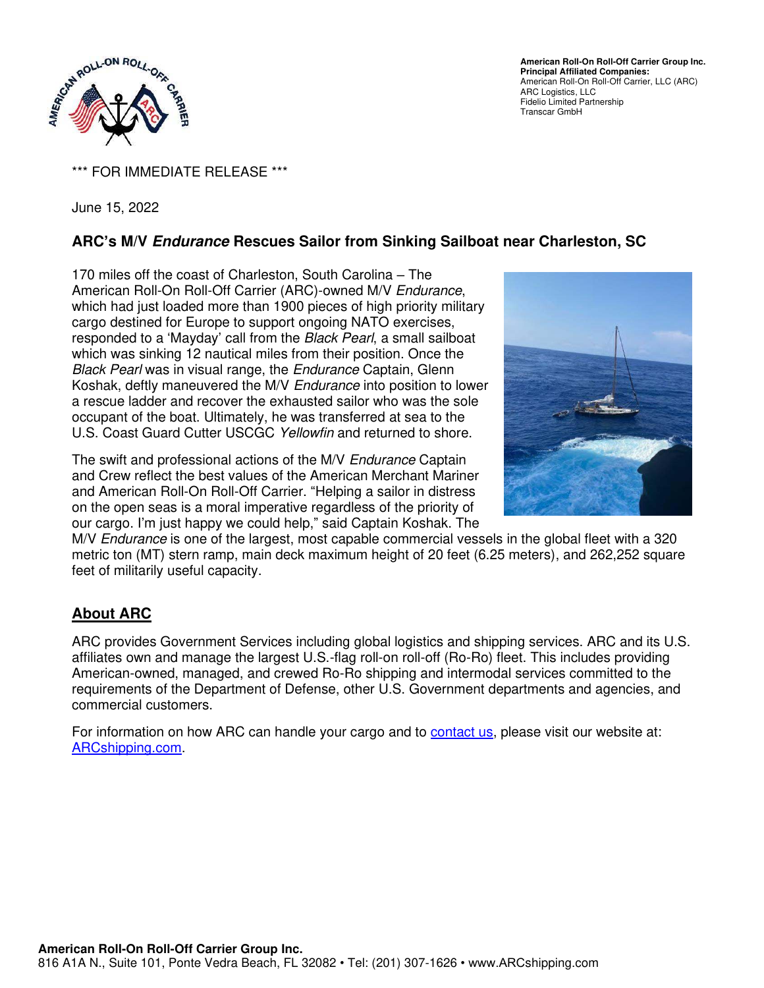

**American Roll-On Roll-Off Carrier Group Inc. Principal Affiliated Companies:**  American Roll-On Roll-Off Carrier, LLC (ARC) ARC Logistics, LLC Fidelio Limited Partnership Transcar GmbH

\*\*\* FOR IMMEDIATE RELEASE \*\*\*

June 15, 2022

## **ARC's M/V Endurance Rescues Sailor from Sinking Sailboat near Charleston, SC**

170 miles off the coast of Charleston, South Carolina – The American Roll-On Roll-Off Carrier (ARC)-owned M/V Endurance, which had just loaded more than 1900 pieces of high priority military cargo destined for Europe to support ongoing NATO exercises, responded to a 'Mayday' call from the Black Pearl, a small sailboat which was sinking 12 nautical miles from their position. Once the Black Pearl was in visual range, the Endurance Captain, Glenn Koshak, deftly maneuvered the M/V Endurance into position to lower a rescue ladder and recover the exhausted sailor who was the sole occupant of the boat. Ultimately, he was transferred at sea to the U.S. Coast Guard Cutter USCGC Yellowfin and returned to shore.

The swift and professional actions of the M/V Endurance Captain and Crew reflect the best values of the American Merchant Mariner and American Roll-On Roll-Off Carrier. "Helping a sailor in distress on the open seas is a moral imperative regardless of the priority of our cargo. I'm just happy we could help," said Captain Koshak. The



M/V *Endurance* is one of the largest, most capable commercial vessels in the global fleet with a 320 metric ton (MT) stern ramp, main deck maximum height of 20 feet (6.25 meters), and 262,252 square feet of militarily useful capacity.

## **About ARC**

ARC provides Government Services including global logistics and shipping services. ARC and its U.S. affiliates own and manage the largest U.S.-flag roll-on roll-off (Ro-Ro) fleet. This includes providing American-owned, managed, and crewed Ro-Ro shipping and intermodal services committed to the requirements of the Department of Defense, other U.S. Government departments and agencies, and commercial customers.

For information on how ARC can handle your cargo and to [contact us,](https://www.arcshipping.com/contact-us/) please visit our website at: [ARCshipping.com.](http://www.arcshipping.com/)